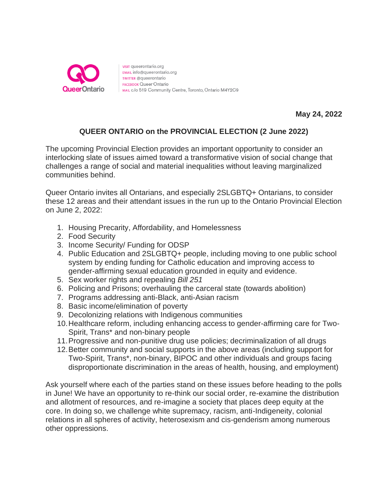

visit queerontario.org EMAIL info@queerontario.org TWITTER @queerontario **FACEBOOK Queer Ontario** MAIL c/o 519 Community Centre, Toronto, Ontario M4Y2C9

**May 24, 2022**

## **QUEER ONTARIO on the PROVINCIAL ELECTION (2 June 2022)**

The upcoming Provincial Election provides an important opportunity to consider an interlocking slate of issues aimed toward a transformative vision of social change that challenges a range of social and material inequalities without leaving marginalized communities behind.

Queer Ontario invites all Ontarians, and especially 2SLGBTQ+ Ontarians, to consider these 12 areas and their attendant issues in the run up to the Ontario Provincial Election on June 2, 2022:

- 1. Housing Precarity, Affordability, and Homelessness
- 2. Food Security
- 3. Income Security/ Funding for ODSP
- 4. Public Education and 2SLGBTQ+ people, including moving to one public school system by ending funding for Catholic education and improving access to gender-affirming sexual education grounded in equity and evidence.
- 5. Sex worker rights and repealing *Bill 251*
- 6. Policing and Prisons; overhauling the carceral state (towards abolition)
- 7. Programs addressing anti-Black, anti-Asian racism
- 8. Basic income/elimination of poverty
- 9. Decolonizing relations with Indigenous communities
- 10.Healthcare reform, including enhancing access to gender-affirming care for Two-Spirit, Trans\* and non-binary people
- 11.Progressive and non-punitive drug use policies; decriminalization of all drugs
- 12.Better community and social supports in the above areas (including support for Two-Spirit, Trans\*, non-binary, BIPOC and other individuals and groups facing disproportionate discrimination in the areas of health, housing, and employment)

Ask yourself where each of the parties stand on these issues before heading to the polls in June! We have an opportunity to re-think our social order, re-examine the distribution and allotment of resources, and re-imagine a society that places deep equity at the core. In doing so, we challenge white supremacy, racism, anti-Indigeneity, colonial relations in all spheres of activity, heterosexism and cis-genderism among numerous other oppressions.